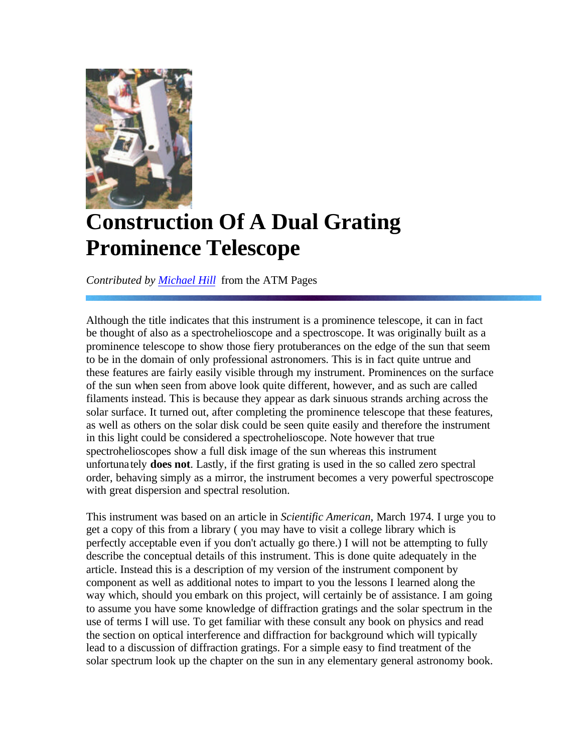

## **Construction Of A Dual Grating Prominence Telescope**

*Contributed by Michael Hill* from the ATM Pages

Although the title indicates that this instrument is a prominence telescope, it can in fact be thought of also as a spectrohelioscope and a spectroscope. It was originally built as a prominence telescope to show those fiery protuberances on the edge of the sun that seem to be in the domain of only professional astronomers. This is in fact quite untrue and these features are fairly easily visible through my instrument. Prominences on the surface of the sun when seen from above look quite different, however, and as such are called filaments instead. This is because they appear as dark sinuous strands arching across the solar surface. It turned out, after completing the prominence telescope that these features, as well as others on the solar disk could be seen quite easily and therefore the instrument in this light could be considered a spectrohelioscope. Note however that true spectrohelioscopes show a full disk image of the sun whereas this instrument unfortunately **does not**. Lastly, if the first grating is used in the so called zero spectral order, behaving simply as a mirror, the instrument becomes a very powerful spectroscope with great dispersion and spectral resolution.

This instrument was based on an article in *Scientific American*, March 1974. I urge you to get a copy of this from a library ( you may have to visit a college library which is perfectly acceptable even if you don't actually go there.) I will not be attempting to fully describe the conceptual details of this instrument. This is done quite adequately in the article. Instead this is a description of my version of the instrument component by component as well as additional notes to impart to you the lessons I learned along the way which, should you embark on this project, will certainly be of assistance. I am going to assume you have some knowledge of diffraction gratings and the solar spectrum in the use of terms I will use. To get familiar with these consult any book on physics and read the section on optical interference and diffraction for background which will typically lead to a discussion of diffraction gratings. For a simple easy to find treatment of the solar spectrum look up the chapter on the sun in any elementary general astronomy book.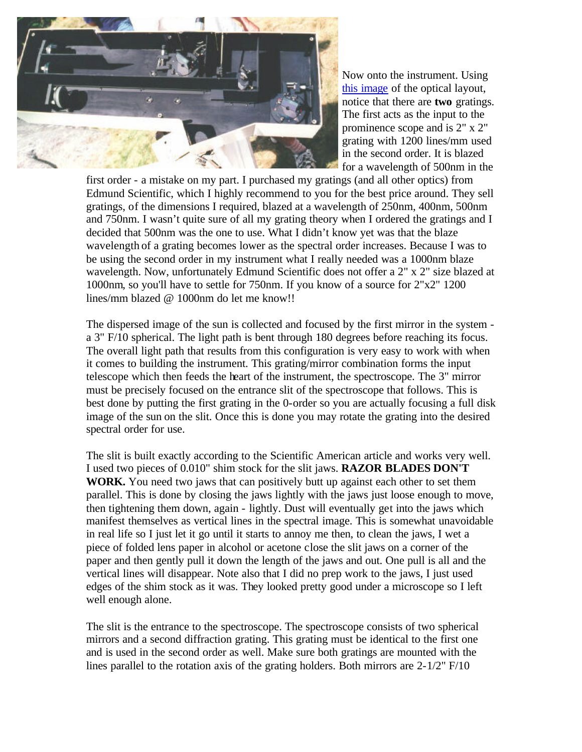

Now onto the instrument. Using this image of the optical layout, notice that there are **two** gratings. The first acts as the input to the prominence scope and is 2" x 2" grating with 1200 lines/mm used in the second order. It is blazed for a wavelength of 500nm in the

first order - a mistake on my part. I purchased my gratings (and all other optics) from Edmund Scientific, which I highly recommend to you for the best price around. They sell gratings, of the dimensions I required, blazed at a wavelength of 250nm, 400nm, 500nm and 750nm. I wasn't quite sure of all my grating theory when I ordered the gratings and I decided that 500nm was the one to use. What I didn't know yet was that the blaze wavelength of a grating becomes lower as the spectral order increases. Because I was to be using the second order in my instrument what I really needed was a 1000nm blaze wavelength. Now, unfortunately Edmund Scientific does not offer a 2" x 2" size blazed at 1000nm, so you'll have to settle for 750nm. If you know of a source for 2"x2" 1200 lines/mm blazed @ 1000nm do let me know!!

The dispersed image of the sun is collected and focused by the first mirror in the system a 3" F/10 spherical. The light path is bent through 180 degrees before reaching its focus. The overall light path that results from this configuration is very easy to work with when it comes to building the instrument. This grating/mirror combination forms the input telescope which then feeds the heart of the instrument, the spectroscope. The 3" mirror must be precisely focused on the entrance slit of the spectroscope that follows. This is best done by putting the first grating in the 0-order so you are actually focusing a full disk image of the sun on the slit. Once this is done you may rotate the grating into the desired spectral order for use.

The slit is built exactly according to the Scientific American article and works very well. I used two pieces of 0.010" shim stock for the slit jaws. **RAZOR BLADES DON'T WORK.** You need two jaws that can positively butt up against each other to set them parallel. This is done by closing the jaws lightly with the jaws just loose enough to move, then tightening them down, again - lightly. Dust will eventually get into the jaws which manifest themselves as vertical lines in the spectral image. This is somewhat unavoidable in real life so I just let it go until it starts to annoy me then, to clean the jaws, I wet a piece of folded lens paper in alcohol or acetone close the slit jaws on a corner of the paper and then gently pull it down the length of the jaws and out. One pull is all and the vertical lines will disappear. Note also that I did no prep work to the jaws, I just used edges of the shim stock as it was. They looked pretty good under a microscope so I left well enough alone.

The slit is the entrance to the spectroscope. The spectroscope consists of two spherical mirrors and a second diffraction grating. This grating must be identical to the first one and is used in the second order as well. Make sure both gratings are mounted with the lines parallel to the rotation axis of the grating holders. Both mirrors are 2-1/2" F/10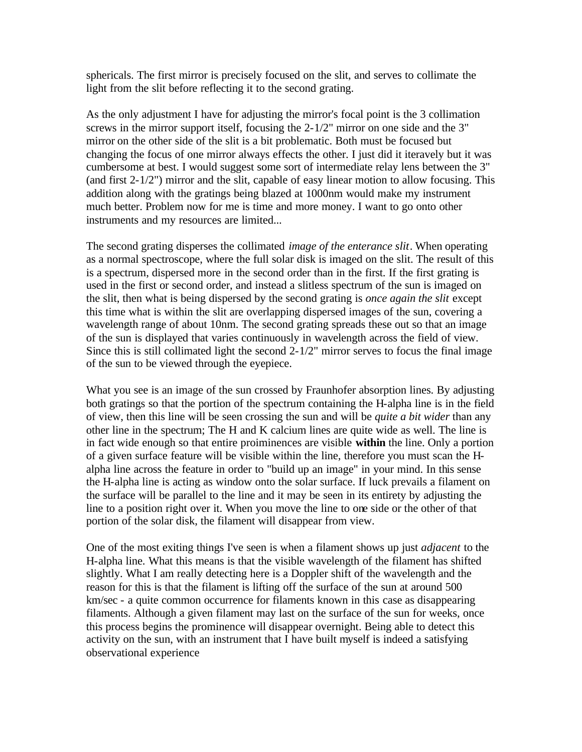sphericals. The first mirror is precisely focused on the slit, and serves to collimate the light from the slit before reflecting it to the second grating.

As the only adjustment I have for adjusting the mirror's focal point is the 3 collimation screws in the mirror support itself, focusing the 2-1/2" mirror on one side and the 3" mirror on the other side of the slit is a bit problematic. Both must be focused but changing the focus of one mirror always effects the other. I just did it iteravely but it was cumbersome at best. I would suggest some sort of intermediate relay lens between the 3" (and first 2-1/2") mirror and the slit, capable of easy linear motion to allow focusing. This addition along with the gratings being blazed at 1000nm would make my instrument much better. Problem now for me is time and more money. I want to go onto other instruments and my resources are limited...

The second grating disperses the collimated *image of the enterance slit*. When operating as a normal spectroscope, where the full solar disk is imaged on the slit. The result of this is a spectrum, dispersed more in the second order than in the first. If the first grating is used in the first or second order, and instead a slitless spectrum of the sun is imaged on the slit, then what is being dispersed by the second grating is *once again the slit* except this time what is within the slit are overlapping dispersed images of the sun, covering a wavelength range of about 10nm. The second grating spreads these out so that an image of the sun is displayed that varies continuously in wavelength across the field of view. Since this is still collimated light the second 2-1/2" mirror serves to focus the final image of the sun to be viewed through the eyepiece.

What you see is an image of the sun crossed by Fraunhofer absorption lines. By adjusting both gratings so that the portion of the spectrum containing the H-alpha line is in the field of view, then this line will be seen crossing the sun and will be *quite a bit wider* than any other line in the spectrum; The H and K calcium lines are quite wide as well. The line is in fact wide enough so that entire proiminences are visible **within** the line. Only a portion of a given surface feature will be visible within the line, therefore you must scan the Halpha line across the feature in order to "build up an image" in your mind. In this sense the H-alpha line is acting as window onto the solar surface. If luck prevails a filament on the surface will be parallel to the line and it may be seen in its entirety by adjusting the line to a position right over it. When you move the line to one side or the other of that portion of the solar disk, the filament will disappear from view.

One of the most exiting things I've seen is when a filament shows up just *adjacent* to the H-alpha line. What this means is that the visible wavelength of the filament has shifted slightly. What I am really detecting here is a Doppler shift of the wavelength and the reason for this is that the filament is lifting off the surface of the sun at around 500 km/sec - a quite common occurrence for filaments known in this case as disappearing filaments. Although a given filament may last on the surface of the sun for weeks, once this process begins the prominence will disappear overnight. Being able to detect this activity on the sun, with an instrument that I have built myself is indeed a satisfying observational experience